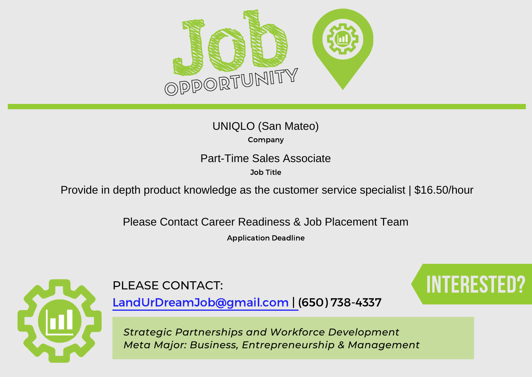

| UNIQLO (San Mateo) |  |  |  |  |
|--------------------|--|--|--|--|
| Company            |  |  |  |  |

Job Title

Part-Time Sales Associate<br>
<sup>Job Title</sup><br>
Provide in depth product knowledge as the customer service specialist | \$16.50/hour<br>
Please Contact Career Readiness & Job Placement Team

Application Deadline



PLEASE CONTACT: **Interested Contact**:

LandUrDreamJob@gmail.com | (650) 738-4337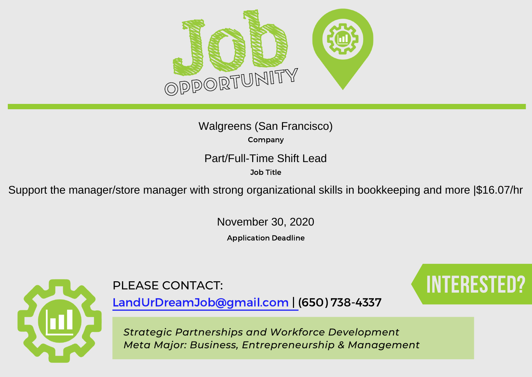

Company Walgreens (San Francisco)

Part/Full-Time Shift Lead

Job Title

Support the manager/store manager with strong organizational skills in bookkeeping and more |\$16.07/hr<br>November 30, 2020

Application Deadline



LandUrDreamJob@gmail.com | (650) 738-4337

PLEASE CONTACT: Interested: INTERESTED?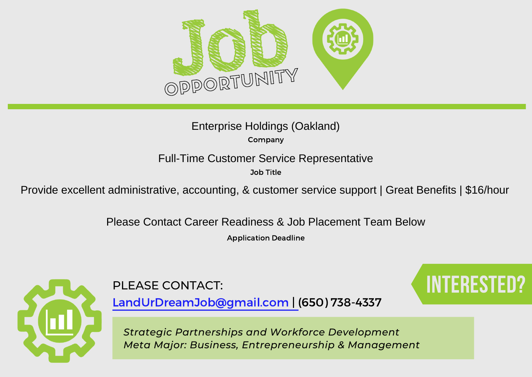

## Company Enterprise Holdings (Oakland)

Job Title

Full-Time Customer Service Representative<br>
<sup>Job Title</sup><br>Provide excellent administrative, accounting, & customer service support | Great Benefits | \$16/hour

Please Contact Career Readiness & Job Placement Team Below

Application Deadline



PLEASE CONTACT: Interested: INTERESTED?

LandUrDreamJob@gmail.com | (650) 738-4337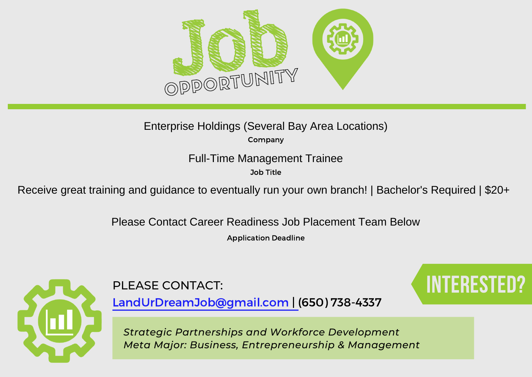

Company Enterprise Holdings (Several Bay Area Locations)

Job Title

Full-Time Management Trainee<br>
<sup>Job Title</sup><br>
Receive great training and guidance to eventually run your own branch! | Bachelor's Required | \$20+<br>Please Contact Career Readiness Job Placement Team Below

Application Deadline



PLEASE CONTACT: Interested: INTERESTED?

LandUrDreamJob@gmail.com | (650) 738-4337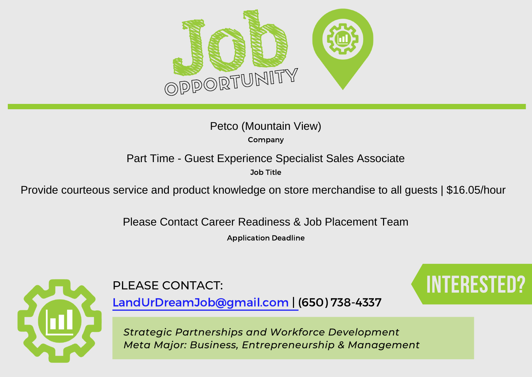

| Petco (Mountain View) |  |
|-----------------------|--|
| Company               |  |

Job Title

Part Time - Guest Experience Specialist Sales Associate<br><sup>Job Title</sup><br>Provide courteous service and product knowledge on store merchandise to all guests | \$16.05/hour

Please Contact Career Readiness & Job Placement Team

Application Deadline



PLEASE CONTACT: Interested: INTERESTED?

LandUrDreamJob@gmail.com | (650) 738-4337